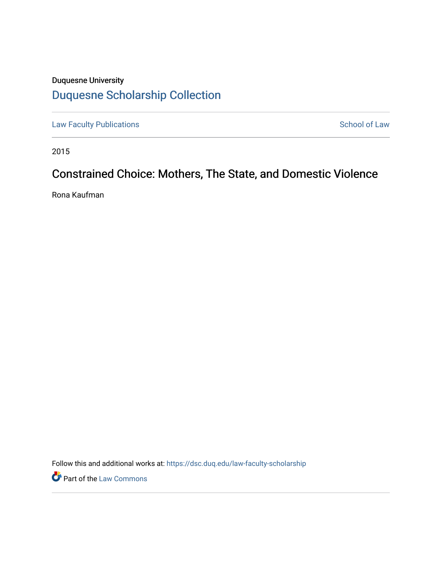# Duquesne University [Duquesne Scholarship Collection](https://dsc.duq.edu/)

[Law Faculty Publications](https://dsc.duq.edu/law-faculty-scholarship) **School of Law** School of Law

2015

# Constrained Choice: Mothers, The State, and Domestic Violence

Rona Kaufman

Follow this and additional works at: [https://dsc.duq.edu/law-faculty-scholarship](https://dsc.duq.edu/law-faculty-scholarship?utm_source=dsc.duq.edu%2Flaw-faculty-scholarship%2F74&utm_medium=PDF&utm_campaign=PDFCoverPages)

**Part of the [Law Commons](http://network.bepress.com/hgg/discipline/578?utm_source=dsc.duq.edu%2Flaw-faculty-scholarship%2F74&utm_medium=PDF&utm_campaign=PDFCoverPages)**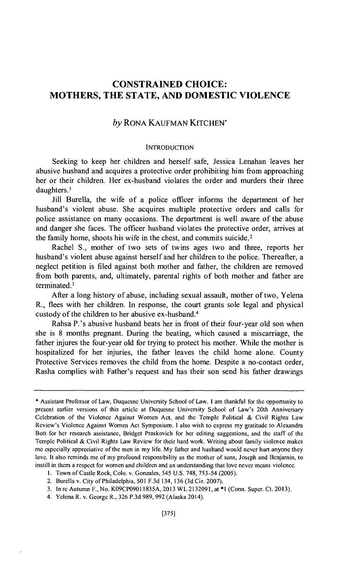# **CONSTRAINED CHOICE: MOTHERS, THE STATE, AND DOMESTIC VIOLENCE**

## *by* RONA KAUFMAN KITCHEN'

## **INTRODUCTION**

Seeking to keep her children and herself safe, Jessica Lenahan leaves her abusive husband and acquires a protective order prohibiting him from approaching her or their children. Her ex-husband violates the order and murders their three daughters.<sup>1</sup>

Jill Burella, the wife of a police officer informs the department of her husband's violent abuse. She acquires multiple protective orders and calls for police assistance on many occasions. The department is well aware of the abuse and danger she faces. The officer husband violates the protective order, arrives at the family home, shoots his wife in the chest, and commits suicide. 2

Rachel S., mother of two sets of twins ages two and three, reports her husband's violent abuse against herself and her children to the police. Thereafter, a neglect petition is filed against both mother and father, the children are removed from both parents, and, ultimately, parental rights of both mother and father are terminated.<sup>3</sup>

After a long history of abuse, including sexual assault, mother of two, Yelena R., flees with her children. In response, the court grants sole legal and physical custody of the children to her abusive ex-husband.4

Rahsa P.'s abusive husband beats her in front of their four-year old son when she is 8 months pregnant. During the beating, which caused a miscarriage, the father injures the four-year old for trying to protect his mother. While the mother is hospitalized for her injuries, the father leaves the child home alone. County Protective Services removes the child from the home. Despite a no-contact order, Rasha complies with Father's request and has their son send his father drawings

<sup>\*</sup> Assistant Professor of Law, Duquesne University School of Law. I am thankful for the opportunity to present earlier versions of this article at Duquesne University School of Law's 20th Anniversary Celebration of the Violence Against Women Act, and the Temple Political & Civil Rights Law Review's Violence Against Women Act Symposium. I also wish to express my gratitude to Alexandra Bott for her research assistance, Bridget Praskovich for her editing suggestions, and the staff of the Temple Political & Civil Rights Law Review for their hard work. Writing about family violence makes me especially appreciative of the men in my life. My father and husband would never hurt anyone they love. It also reminds me of my profound responsibility as the mother of sons, Joseph and Benjamin, to instill in them a respect for women and children and an understanding that love never means violence.

I. Town of Castle Rock, Colo. v. Gonzales, 545 U.S. 748, 753-54 (2005).

<sup>2.</sup> Burella v. City of Philadelphia, 501 F.3d 134, 136 (3d Cir. 2007).

<sup>3.</sup> In rc Autumn F., No. K09CP09011835A, 2013 WL 2132091, at \*I (Conn. Super. Ct. 2013).

<sup>4.</sup> Yelena R. v. George R., 326 P.3d 989,992 (Alaska 2014).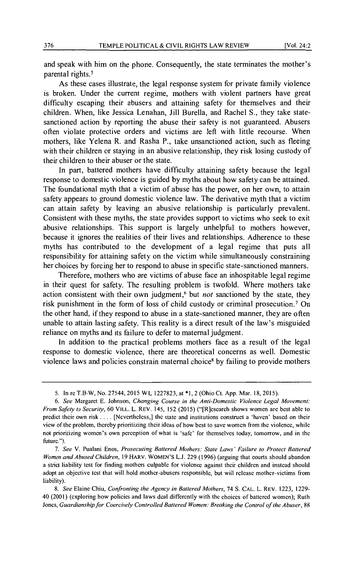and speak with him on the phone. Consequently, the state terminates the mother's parental rights.<sup>5</sup>

As these cases illustrate, the legal response system for private family violence is broken. Under the current regime, mothers with violent partners have great difficulty escaping their abusers and attaining safety for themselves and their children. When, like Jessica Lenahan, Jill Burella, and Rachel S., they take statesanctioned action by reporting the abuse their safety is not guaranteed. Abusers often violate protective orders and victims are left with little recourse. When mothers, like Yelena R. and Rasha P., take unsanctioned action, such as fleeing with their children or staying in an abusive relationship, they risk losing custody of their children to their abuser or the state.

In part, battered mothers have difficulty attaining safety because the legal response to domestic violence is guided by myths about how safety can be attained. The foundational myth that a victim of abuse has the power, on her own, to attain safety appears to ground domestic violence law. The derivative myth that a victim can attain safety by leaving an abusive relationship is particularly prevalent. Consistent with these myths, the state provides support to victims who seek to exit abusive relationships. This support is largely unhelpful to mothers however, because it ignores the realities of their lives and relationships. Adherence to these myths has contributed to the development of a legal regime that puts all responsibility for attaining safety on the victim while simultaneously constraining her choices by forcing her to respond to abuse in specific state-sanctioned manners.

Therefore, mothers who are victims of abuse face an inhospitable legal regime in their quest for safety. The resulting problem is twofold. Where mothers take action consistent with their own judgment,<sup>6</sup> but *not* sanctioned by the state, they risk punishment in the form of loss of child custody or criminal prosecution.<sup>7</sup> On the other hand, if they respond to abuse in a state-sanctioned manner, they are often unable to attain lasting safety. This reality is a direct result of the law's misguided reliance on myths and its failure to defer to maternal judgment.

In addition to the practical problems mothers face as a result of the legal response to domestic violence, there are theoretical concerns as well. Domestic violence laws and policies constrain maternal choice<sup>8</sup> by failing to provide mothers

<sup>5.</sup> In rc T.B-W, No. 27544,2015 WL 1227823, at \*I, 2 (Ohio Ct. App. Mar. 18, 2015).

<sup>6.</sup> *See* Margaret E. Johnson, *Changing Course in the Anti-Domestic Violence Legal Movement: From Safety to Security,* 60 VILL. L. REV. 145, 152 (2015) ("[R]cscarch shows women arc best able to predict their own risk .... [Ncvertheless,] the state and institutions construct a 'haven' based on their view of the problem, thereby prioritizing their ideas of how best to save women from the violence, while not prioritizing women's own perception of what is 'safe' for themselves today, tomorrow, and in the future.").

<sup>7.</sup> *See* V. Pualani Enos, *Prosecuting Haltered Mothers: State Laws' Failure to Protect Haltered Women and Abused Children,* 19 HARV. WOMEN'S L.J. 229 (1996) (arguing that courts should abandon a strict liability test for finding mothers culpable for violence against their children and instead should adopt an objective test that will hold mother-abusers responsible, but will release mother-victims from liability).

<sup>8.</sup> *See* Elaine Chiu, *Confronting the Agency in Haltered Mothers,* 74 S. CAL. L. REV. 1223, 1229- 40 (2001) (exploring how policies and Jaws deal differently with the choices of battered women); Ruth Jones, *Guardianship for Coercively Controlled Battered Women: Breaking the Control of the Abuser*, 88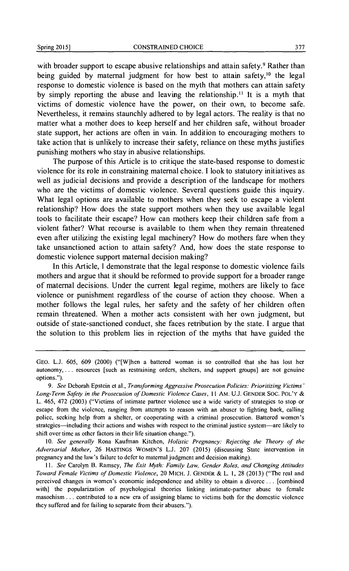with broader support to escape abusive relationships and attain safety.<sup>9</sup> Rather than being guided by maternal judgment for how best to attain safety,<sup>10</sup> the legal response to domestic violence is based on the myth that mothers can attain safety by simply reporting the abuse and leaving the relationship. 11 It is a myth that victims of domestic violence have the power, on their own, to become safe. Nevertheless, it remains staunchly adhered to by legal actors. The reality is that no matter what a mother does to keep herself and her children safe, without broader state support, her actions are often in vain. In addition to encouraging mothers to take action that is unlikely to increase their safety, reliance on these myths justifies punishing mothers who stay in abusive relationships.

The purpose of this Article is to critique the state-based response to domestic violence for its role in constraining maternal choice. I look to statutory initiatives as well as judicial decisions and provide a description of the landscape for mothers who are the victims of domestic violence. Several questions guide this inquiry. What legal options are available to mothers when they seek to escape a violent relationship? How does the state support mothers when they use available legal tools to facilitate their escape? How can mothers keep their children safe from a violent father? What recourse is available to them when they remain threatened even after utilizing the existing legal machinery? How do mothers fare when they take unsanctioned action to attain safety? And, how does the state response to domestic violence support maternal decision making?

In this Article, I demonstrate that the legal response to domestic violence fails mothers and argue that it should be reformed to provide support for a broader range of maternal decisions. Under the current legal regime, mothers are likely to face violence or punishment regardless of the course of action they choose. When a mother follows the legal rules, her safety and the safety of her children often remain threatened. When a mother acts consistent with her own judgment, but outside of state-sanctioned conduct, she faces retribution by the state. I argue that the solution to this problem lies in rejection of the myths that have guided the

10. *See generally* Rona Kaufman Kitchen, *Holistic Pregnancy: Rejecting the Theory of the Adversarial Mother,* 26 HASTINGS WOMEN'S L.J. 207 (2015) (discussing State intervention in pregnancy and the law's failure to defer to maternal judgment and decision making).

GEO. L.J. 605, 609 (2000) ("[W]hen a battered woman is so controlled that she has lost her autonomy, ... resources [such as restraining orders, shelters, and support groups] are not genuine options.").

<sup>9.</sup> *See* Deborah Epstein et al., *Transforming Aggressive Prosecution Policies: Prioritizing Victims' Long-Term Safety in the Prosecution of Domestic Violence Cases,* II AM. U.J. GENDER SOC. POL'Y & L. 465, 472 (2003) ("Victims of intimate partner violence usc a wide variety of strategies to stop or escape from the violence, ranging from attempts to reason with an abuser to fighting back, calling police, seeking help from a shelter, or cooperating with a criminal prosecution. Battered women's strategies-including their actions and wishes with respect to the criminal justice system-arc likely to shift over time as other factors in their life situation change.").

II. *See* Carolyn B. Ramsey, *The Exit Myth: Family Law, Gender Roles, and Changing Attitudes Toward Female Victims of Domestic Violence,* 20 MICH. J. GENDER & L. I, 28 (2013) ("The real and perceived changes in women's economic independence and ability to obtain a divorce ... [combined with] the popularization of psychological theories linking intimate-partner abuse to female masochism ... contributed to a new era of assigning blame to victims both for the domestic violence they suffered and for failing to separate from their abusers.").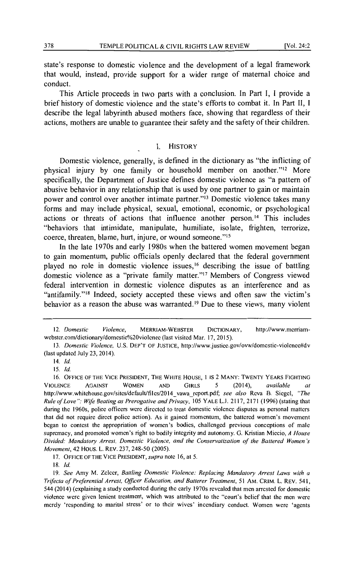state's response to domestic violence and the development of a legal framework that would, instead, provide support for a wider range of maternal choice and conduct.

This Article proceeds in two parts with a conclusion. In Part I, I provide a brief history of domestic violence and the state's efforts to combat it. In Part II, I describe the legal labyrinth abused mothers face, showing that regardless of their actions, mothers are unable to guarantee their safety and the safety of their children.

### I. HISTORY

Domestic violence, generally, is defined in the dictionary as "the inflicting of physical injury by one family or household member on another."<sup>12</sup> More specifically, the Department of Justice defines domestic violence as "a pattern of abusive behavior in any relationship that is used by one partner to gain or maintain power and control over another intimate partner."13 Domestic violence takes many forms and may include physical, sexual, emotional, economic, or psychological actions or threats of actions that influence another person.<sup>14</sup> This includes "behaviors that intimidate, manipulate, humiliate, isolate, frighten, terrorize, coerce, threaten, blame, hurt, injure, or wound someone."<sup>15</sup>

In the late 1970s and early 1980s when the battered women movement began to gain momentum, public officials openly declared that the federal government played no role in domestic violence issues, 16 describing the issue of battling domestic violence as a "private family matter."17 Members of Congress viewed federal intervention in domestic violence disputes as an interference and as "antifamily."<sup>18</sup> Indeed, society accepted these views and often saw the victim's behavior as a reason the abuse was warranted. 19 Due to these views, many violent

15. *ld.* 

<sup>12.</sup> *Domestic Violence,* MERRIAM-WEBSTER DICTIONARY, http://www.mcrriamwcbstcr.com/dictionary/domcstic%20violcncc (last visited Mar. 17, 2015).

<sup>13.</sup> *Domestic Violence,* U.S. DEP'T OF JUSTICE, http://www.justicc.gov/ovw/domestic-violcnce#dv (last updated July 23, 2014).

<sup>14.</sup> *!d.* 

<sup>16.</sup> OFFICE OF THE VICE PRESIDENT, THE WHITE HOUSE, I IS 2 MANY: TWENTY YEARS FIGHTING VIOLENCE AGAINST WOMEN AND GIRLS 5 (2014), *available at*  http://www.whitehousc.gov/sitcs/default/files/2014\_ vawa\_report.pdf; *see also* Reva B. Siegel, *"The Rule of Love": Wife Beating as Prerogative and Privacy,* 105 YALE L.J. 2117, 2171 (1996) (stating that during the 1960s, police officers were directed to treat domestic violence disputes as personal matters that did not require direct police action). As it gained momentum, the battered women's movement began to contest the appropriation of women's bodies, challenged previous conceptions of male supremacy, and promoted women's right to bodily integrity and autonomy. G. Kristian Miccio, *A House Divided: Mandatory Arrest, Domestic Violence, and the Conservatization of the Battered Women 's Movement,* 42 Hous. L. REV. 237,248-50 (2005).

<sup>17.</sup> OFFICE OF THE VICE PRESIDENT, *supra* note 16, at 5.

<sup>18.</sup> *!d.* 

<sup>19.</sup> *See* Amy M. Zclccr, *Battling Domestic Violence: Replacing Mandatory Arrest Laws with a Trifecta of Preferential Arrest, Officer Education, and Batterer Treatment,* 51 AM. CRIM. L. REV. 541, 544 (2014) (explaining a study conducted during the early 1970s revealed that men arrested for domestic violence were given lenient treatment, which was attributed to the "court's belief that the men were merely 'responding to marital stress' or to their wives' incendiary conduct. Women were 'agents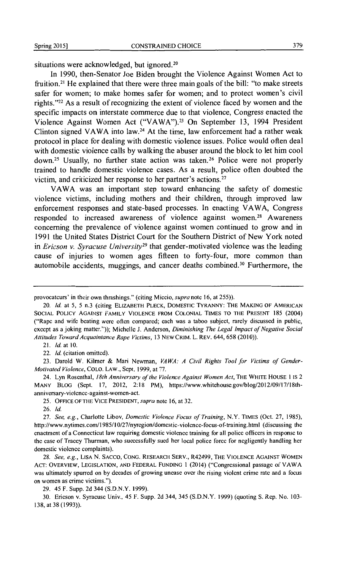situations were acknowledged, but ignored.<sup>20</sup>

In 1990, then-Senator Joe Biden brought the Violence Against Women Act to fruition.<sup>21</sup> He explained that there were three main goals of the bill: "to make streets safer for women; to make homes safer for women; and to protect women's civil rights. "22 As a result of recognizing the extent of violence faced by women and the specific impacts on interstate commerce due to that violence, Congress enacted the Violence Against Women Act ("VAWA").<sup>23</sup> On September 13, 1994 President Clinton signed VAWA into law.<sup>24</sup> At the time, law enforcement had a rather weak protocol in place for dealing with domestic violence issues. Police would often deal with domestic violence calls by walking the abuser around the block to let him cool down.<sup>25</sup> Usually, no further state action was taken.<sup>26</sup> Police were not properly trained to handle domestic violence cases. As a result, police often doubted the victim, and criticized her response to her partner's actions. $27$ 

VAWA was an important step toward enhancing the safety of domestic violence victims, including mothers and their children, through improved law enforcement responses and state-based processes. In enacting VAWA, Congress responded to increased awareness of violence against women.<sup>28</sup> Awareness concerning the prevalence of violence against women continued to grow and in 1991 the United States District Court for the Southern District of New York noted in *Ericson v. Syracuse University*<sup>29</sup> that gender-motivated violence was the leading cause of injuries to women ages fifteen to forty-four, more common than automobile accidents, muggings, and cancer deaths combined.<sup>30</sup> Furthermore, the

21. */d.* at 10.

22. *!d.* (citation omitted).

23. Darold W. Kilmer & Mari Newman, *VAWA: A Civil Rights Tool for Victims of Gender-Motivated Violence,* COLO. LAW., Sept. 1999, at 77.

24. Lyn Rosenthal, *18th Anniversary of the Violence Against Women Act,* THE WHITE HOUSE I IS 2 MANY BLOG (Sept. 17, 2012, 2:18 PM), https://www.whitehouse.gov/blog/2012/09/17/18thanniversary-violence-against-women-act.

25. OFFICE OF THE VICE PRESIDENT, *supra* note 16, at 32.

26. */d.* 

28. *See, e.g.,* LISA N. SACCO, CONG. RESEARCH SERV., R42499, THE VIOLENCE AGAINST WOMEN ACT: OVERVIEW, LEGISLATION, AND FEDERAL FUNDING I (2014) ("Congressional passage of YAWA was ultimately spurred on by decades of growing unease over the rising violent crime rate and a focus on women as crime victims.").

29. 45 F. Supp. 2d 344 (S.D.N.Y. 1999).

30. Ericson v. Syracuse Univ., 45 F. Supp. 2d 344, 345 (S.D.N.Y. 1999) (quoting S. Rep. No. 103- 138, at 38 (1993)).

provocateurs' in their own thrashings." (citing Miccio, *supra* note 16, at 255)).

<sup>20.</sup> *!d.* at 5, 5 n.3 (citing ELIZABETH PLECK, DOMESTIC TYRANNY: THE MAKING OF AMERICAN SOCIAL POLICY AGAINST FAMILY VIOLENCE FROM COLONIAL TIMES TO THE PRESENT 185 (2004) ("Rape and wife beating were often compared; each was a taboo subject, rarely discussed in public, except as a joking matter.")); Michelle J. Anderson, *Diminishing The Legal Impact of Negative Social Attitudes Toward Acquaintance Rape Victims,* 13 NEWCRIM. L. REV. 644,658 (2010)).

<sup>27.</sup> *See, e.g.,* Charlotte Libov, *Domestic Violence Focus of Training,* N.Y. TIMES (Oct. 27, 1985), http://www.nytimes.com/1985/l 0/27/nyregion/domcstic-violence-focus-of-training.html (discussing the enactment of a Connecticut law requiring domestic violence training for all police officers in response to the case of Tracey Thurman, who successfully sued her local police force for negligently handling her domestic violence complaints).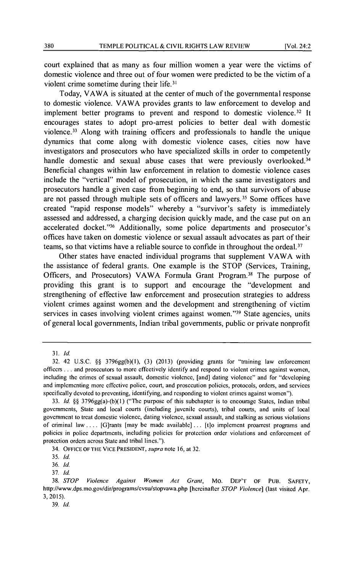court explained that as many as four million women a year were the victims of domestic violence and three out of four women were predicted to be the victim of a violent crime sometime during their life. <sup>31</sup>

Today, VAWA is situated at the center of much of the governmental response to domestic violence. VAWA provides grants to law enforcement to develop and implement better programs to prevent and respond to domestic violence.<sup>32</sup> It encourages states to adopt pro-arrest policies to better deal with domestic violence. 33 Along with training officers and professionals to handle the unique dynamics that come along with domestic violence cases, cities now have investigators and prosecutors who have specialized skills in order to competently handle domestic and sexual abuse cases that were previously overlooked.<sup>34</sup> Beneficial changes within law enforcement in relation to domestic violence cases include the "vertical" model of prosecution, in which the same investigators and prosecutors handle a given case from beginning to end, so that survivors of abuse are not passed through multiple sets of officers and lawyers. 35 Some offices have created "rapid response models" whereby a "survivor's safety is immediately assessed and addressed, a charging decision quickly made, and the case put on an accelerated docket."36 Additionally, some police departments and prosecutor's offices have taken on domestic violence or sexual assault advocates as part of their teams, so that victims have a reliable source to confide in throughout the ordeal. 37

Other states have enacted individual programs that supplement VAWA with the assistance of federal grants. One example is the STOP (Services, Training, Officers, and Prosecutors) VAWA Formula Grant Program.<sup>38</sup> The purpose of providing this grant is to support and encourage the "development and strengthening of effective law enforcement and prosecution strategies to address violent crimes against women and the development and strengthening of victim services in cases involving violent crimes against women."<sup>39</sup> State agencies, units of general local governments, Indian tribal governments, public or private nonprofit

<sup>31.</sup> */d.* 

<sup>32. 42</sup> U.S.C. §§ 3796gg(b)(I), (3) (2013) (providing grants for "training law enforcement officers ... and prosecutors to more effectively identify and respond to violent crimes against women, including the crimes of sexual assault, domestic violence, [and] dating violence" and for "developing and implementing more effective police, court, and prosecution policies, protocols, orders, and services specifically devoted to preventing, identifying, and responding to violent crimes against women").

<sup>33.</sup> */d.* §§ 3796gg(a)-(b)(l) ("The purpose of this subchapter is to encourage States, Indian tribal governments, State and local courts (including juvenile courts), tribal courts, and units of local government to treat domestic violence, dating violence, sexual assault, and stalking as serious violations of criminal law .... [G]rants [may be made available] ... [t]o implement proarrest programs and policies in police departments, including policies for protection order violations and enforcement of protection orders across State and tribal lines.").

<sup>34.</sup> OFFICE OF THE VICE PRESIDENT, *supra* note 16, at 32.

<sup>35.</sup> *!d.* 

<sup>36.</sup> */d.* 

<sup>37.</sup> *!d.* 

<sup>38.</sup> *STOP Violence Against Women Act Grant,* Mo. DEP'T OF PUB. SAFETY, http://www.dps.mo.gov/dir/programs/cvsu/stopvawa.php [hereinafter *STOP Violence]* (last visited Apr. 3, 2015).

<sup>39.</sup> */d.*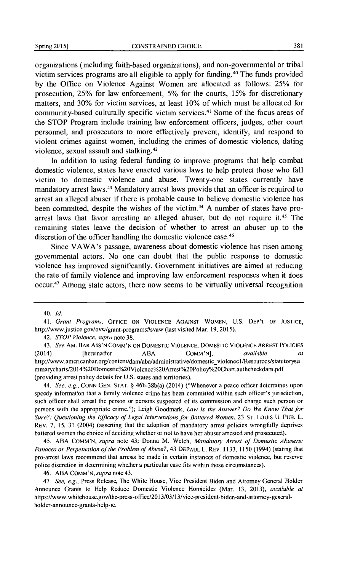organizations (including faith-based organizations), and non-governmental or tribal victim services programs are all eligible to apply for funding. 40 The funds provided by the Office on Violence Against Women are allocated as follows: 25% for prosecution, 25% for law enforcement, 5% for the courts, 15% for discretionary matters, and 30% for victim services, at least 10% of which must be allocated for community-based culturally specific victim services.<sup>41</sup> Some of the focus areas of the STOP Program include training law enforcement officers, judges, other court personnel, and prosecutors to more effectively prevent, identify, and respond to violent crimes against women, including the crimes of domestic violence, dating violence, sexual assault and stalking. <sup>42</sup>

In addition to using federal funding to improve programs that help combat domestic violence, states have enacted various laws to help protect those who fall victim to domestic violence and abuse. Twenty-one states currently have mandatory arrest laws.43 Mandatory arrest laws provide that an officer is required to arrest an alleged abuser if there is probable cause to believe domestic violence has been committed, despite the wishes of the victim.<sup>44</sup> A number of states have proarrest laws that favor arresting an alleged abuser, but do not require it.<sup>45</sup> The remaining states leave the decision of whether to arrest an abuser up to the discretion of the officer handling the domestic violence case.<sup>46</sup>

Since VA WA's passage, awareness about domestic violence has risen among governmental actors. No one can doubt that the public response to domestic violence has improved significantly. Government initiatives are aimed at reducing the rate of family violence and improving law enforcement responses when it does occur.47 Among state actors, there now seems to be virtually universal recognition

43. *See* AM. BAR ASS'N COMM'N ON DOMESTIC VIOLENCE, DOMESTIC VIOLENCE ARREST POLICIES (2014) [hereinafter ABA COMM'N], *available at*  http://www .american bar. org/ contcnt/darn/aba/ administrati vcldomestic \_viol cnec I /Resourccs/statutorysu mmarycharts/2014%20Domestic%20Violcncc%20Arrest%20Policy%20Chart.authcheckdam.pdf (providing arrest policy details for U.S. states and territories).

44. *See. e.g.,* CONN GEN. STAT.§ 46b-38b(a) (2014) ("Whenever a peace officer determines upon speedy information that a family violence crime has been committed within such officer's jurisdiction, such officer shall arrest the person or persons suspected of its commission and charge such person or persons with the appropriate crime."); Leigh Goodmark, *Law Is the Answer? Do We Know That for*  Sure?: Questioning the Efficacy of Legal Interventions for Battered Women, 23 ST. LOUIS U. PUB. L. REV. 7, 15, 31 (2004) (asserting that the adoption of mandatory arrest policies wrongfully deprives battered women the choice of deciding whether or not to have her abuser arrested and prosecuted).

45. ABA COMM'N, *supra* note 43; Donna M. Welch, *Mandatory Arrest of Domestic Abusers: Panacea or Perpetuation of the Problem of Abuse?,* 43 DEPAUL L. REV. 1133, 1150 (1994) (stating that pro-arrest laws recommend that arrests be made in certain instances of domestic violence, but reserve police discretion in determining whether a particular case fits within those circumstances).

46. ABA COMM'N, *supra* note 43.

47. *See, e.g.,* Press Release, The White House, Vice President Biden and Attorney General Holder Announce Grants to Help Reduce Domestic Violence Homicides (Mar. 13, 2013), *available at*  https://www.whitchouse.gov/thc-prcss-officc/2013/03/13/vice-prcsidcnt-biden-and-attorncy-gcncralholdcr-announcc-grants-help-re.

<sup>40.</sup> */d.* 

<sup>41.</sup> *Grant Programs.* OFFICE ON VIOLENCE AGAINST WOMEN, U.S. DEP'T OF JUSTICE, http://www.justicc.gov/ovw/grant-programs#svaw (last visited Mar. 19, 2015).

<sup>42.</sup> *STOP Violence, supra* note 38.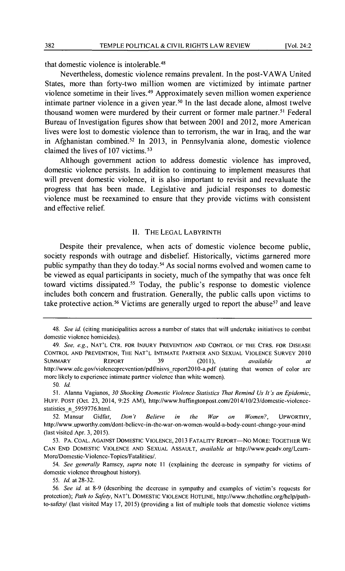that domestic violence is intolerable. <sup>48</sup>

Nevertheless, domestic violence remains prevalent. In the post-VAWA United States, more than forty-two million women are victimized by intimate partner violence sometime in their lives. 49 Approximately seven million women experience intimate partner violence in a given year.<sup>50</sup> In the last decade alone, almost twelve thousand women were murdered by their current or former male partner.<sup>51</sup> Federal Bureau of Investigation figures show that between 2001 and 2012, more American lives were lost to domestic violence than to terrorism, the war in Iraq, and the war in Afghanistan combined.<sup>52</sup> In 2013, in Pennsylvania alone, domestic violence claimed the lives of 107 victims. 53

Although government action to address domestic violence has improved, domestic violence persists. In addition to continuing to implement measures that will prevent domestic violence, it is also· important to revisit and reevaluate the progress that has been made. Legislative and judicial responses to domestic violence must be reexamined to ensure that they provide victims with consistent and effective relief.

#### II. THE LEGAL LABYRINTH

Despite their prevalence, when acts of domestic violence become public, society responds with outrage and disbelief. Historically, victims garnered more public sympathy than they do today. 5 4 As social norms evolved and women came to be viewed as equal participants in society, much of the sympathy that was once felt toward victims dissipated. 55 Today, the public's response to domestic violence includes both concern and frustration. Generally, the public calls upon victims to take protective action.<sup>56</sup> Victims are generally urged to report the abuse<sup>57</sup> and leave

55. */d.* at 28-32.

<sup>48.</sup> *See id.* (citing municipalities across a number of states that will undertake initiatives to combat domestic violence homicides).

<sup>49.</sup> *See, e.g.,* NAT'L CTR. FOR INJURY PREVENTION AND CONTROL OF THE CTRS. FOR DISEASE CONTROL AND PREVENTION, THE NAT'L INTIMATE PARTNER AND SEXUAL VIOLENCE SURVEY 2010 SUMMARY REPORT 39 (2011), *available at*  http://www.cdc.gov/violenceprevention/pdf/nisvs report2010-a.pdf (stating that women of color arc more likely to experience intimate partner violence than white women).

<sup>50.</sup> *!d.* 

<sup>51.</sup> Alanna Vagianos, *30 Shocking Domestic Violence Statistics 7hat Remind Us It's an Epidemic,*  HUFF. POST (Oct. 23, 2014, 9:25AM), http://www.huffingtonpost.com/2014/10/23/domcstic-violencestatistics n 5959776.html.

<sup>52.</sup> Mansur Gidfar, *Don't Believe in the War on Women?,* UPWORTHY, http://www.upworthy.com/dont-bclieve-in-the-war-on-women-would-a-body-count-change-your-mind (last visited Apr. 3, 2015).

<sup>53.</sup> PA. COAL. AGAINST DOMESTIC VIOLENCE, 2013 FATALITY REPORT-NO MORE: TOGETHER WE CAN END DOMESTIC VIOLENCE AND SEXUAL ASSAULT, *available at* http://www.pcadv.org/Lcam-Morc/Domestic-Violence-Topics/Fatalities/.

<sup>54.</sup> *See generally* Ramsey, *supra* note II (explaining the decrease in sympathy for victims of domestic violence throughout history).

<sup>56.</sup> *See id.* at 8-9 (describing the decrease in sympathy and examples of victim's requests for protection); *Path to Safety,* NAT'L DoMESTIC VIOLENCE HOTLINE, http://www.thehotline.org/help/pathto-safety/ (last visited May 17, 2015) (providing a list of multiple tools that domestic violence victims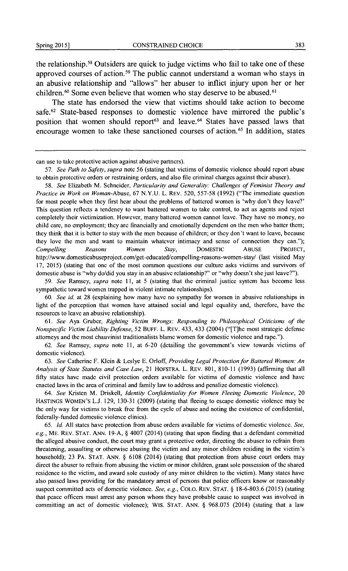the relationship. 58 Outsiders are quick to judge victims who fail to take one of these approved courses of action.<sup>59</sup> The public cannot understand a woman who stays in an abusive relationship and "allows" her abuser to inflict injury upon her or her children.<sup>60</sup> Some even believe that women who stay deserve to be abused.<sup>61</sup>

The state has endorsed the view that victims should take action to become safe.<sup>62</sup> State-based responses to domestic violence have mirrored the public's position that women should report<sup>63</sup> and leave.<sup>64</sup> States have passed laws that encourage women to take these sanctioned courses of action. 65 In addition, states

59. *See* Ramsey, *supra* note II, at *5* (stating that the criminal justice system has become less sympathetic toward women trapped in violent intimate relationships).

60. *See id.* at 28 (explaining how many have no sympathy for women in abusive relationships in light of the perception that women have attained social and legal equality and, therefore, have the resources to leave an abusive relationship).

61. *See* Aya Gruber, *Righting Victim Wrongs: Responding to Philosophical Criticisms of the Nonspecific Victim Liability Defense,* 52 BUFF. L. REV. 433, 433 (2004) ("[T]he most strategic defense attorneys and the most chauvinist traditionalists blame women for domestic violence and rape.").

62. *See* Ramsey, *supra* note II, at 6-20 (detailing the government's view towards victims of domestic violence).

63. *See* Catherine F. Klein & Leslye E. Orloff, *Providing Legal Protection for Battered Women: An Analysis of State Statutes and Case Law,* 21 HOFSTRA. L. REV. 80 I, 810-11 (1993) (affirming that all fifty states have made civil protection orders available for victims of domestic violence and have enacted laws in the area of criminal and family law to address and penalize domestic violence).

64. *See* Kristen M. Driskell, *identity Confidentiality for Women Fleeing Domestic Violence,* 20 HASTINGS WOMEN'S L.J. 129, 130-31 (2009) (stating that fleeing to escape domestic violence may be the only way for victims to break free from the cycle of abuse and noting the existence of confidential, federally-funded domestic violence clinics).

65. *Jd.* All states have protection from abuse orders available for victims of domestic violence. *See, e.g.,* ME. REV. STAT. ANN. 19-A, § 4007 (2014) (stating that upon finding that a defendant committed the alleged abusive conduct, the court may grant a protective order, directing the abuser to refrain from threatening, assaulting or otherwise abusing the victim and any minor children residing in the victim's household); 23 PA. STAT. ANN. § 6108 (2014) (stating that protection from abuse court orders may direct the abuser to refrain from abusing the victim or minor children, grant sole possession of the shared residence to the victim, and award sole custody of any minor children to the victim). Many states have also passed laws providing for the mandatory arrest of persons that police officers know or reasonably suspect committed acts of domestic violence. *See, e.g.,* COLO. REV. STAT.§ 18-6-803.6 (2015) (stating that peace officers must arrest any person whom they have probable cause to suspect was involved in committing an act of domestic violence); WIS. STAT. ANN. § 968.075 (2014) (stating that a law

can use to take protective action against abusive partners).

<sup>57.</sup> *See Path to Safety, supra* note 56 (stating that victims of domestic violence should report abuse to obtain protective orders or restraining orders, and also file criminal charges against their abuser).

<sup>58.</sup> *See* Elizabeth M. Schneider, *Particularity and Generality: Challenges of Feminist Theory and Practice in Work on Woman-Abuse,* 67 N.Y.U. L. REV. 520, 557-58 (1992) ("The immediate question for most people when they first hear about the problems of battered women is 'why don't they leave?' This question reflects a tendency to want battered women to take control, to act as agents and reject completely their victimization. However, many battered women cannot leave. They have no money, no child care, no employment; they arc financially and emotionally dependent on the men who batter them; they think that it is better to stay with the men because of children; or they don't want to leave, because they love the men and want to maintain whatever intimacy and sense of connection they can."); *Compelling Reasons Women Stay,* DOMESTIC ABUSE PROJECf, http://www.domesticabuseproject.com/get-educated/compelling-reasons-women-stay/ (last visited May 17, 2015) (stating that one of the most common questions our culture asks victims and survivors of domestic abuse is "why do/did you stay in an abusive relationship?" or "why doesn't she just leave?").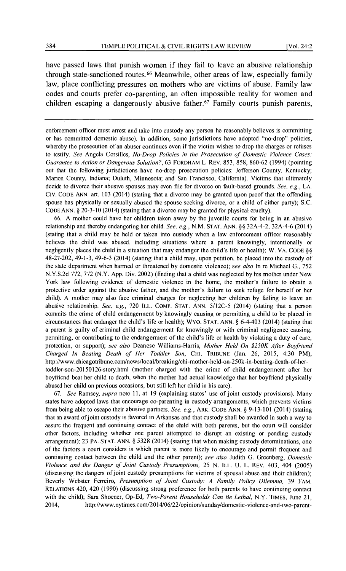have passed laws that punish women if they fail to leave an abusive relationship through state-sanctioned routes. 66 Meanwhile, other areas of law, especially family law, place conflicting pressures on mothers who are victims of abuse. Family law codes and courts prefer co-parenting, an often impossible reality for women and children escaping a dangerously abusive father.<sup>67</sup> Family courts punish parents,

enforcement officer must arrest and take into custody any person he reasonably believes is committing or has committed domestic abuse). In addition, some jurisdictions have adopted "no-drop" policies, whereby the prosecution of an abuser continues even if the victim wishes to drop the charges or refuses to testifY. *See* Angela Corsillcs, *No-Drop Policies in the Prosecution of Domestic Violence Cases: Guarantee to Action or Dangerous Solution?,* 63 FORDHAM L. REV. 853, 858, 860-62 (1994) (pointing out that the following jurisdictions have no-drop prosecution policies: Jefferson County, Kentucky; Marion County, Indiana; Duluth, Minnesota; and San Francisco, California). Victims that ultimately decide to divorce their abusive spouses may even file for divorce on fault-based grounds. *See, e.g.,* LA. CIV. CODE ANN. art. 103 (2014) (stating that a divorce may be granted upon proof that the offending spouse has physically or sexually abused the spouse seeking divorce, or a child of either party); S.C. CODE ANN. § 20-3-10 (2014) (stating that a divorce may be granted for physical cruelty).

66. A mother could have her children taken away by the juvenile courts for being in an abusive relationship and thereby endangering her child. *See, e.g.,* N.M. STAT. ANN.§§ 32A-4-2, 32A-4-6 (2014) (stating that a child may be held or taken into custody when a law enforcement officer reasonably believes the child was abused, including situations where a parent knowingly, intentionally or negligently places the child in a situation that may endanger the child's life or health); W. VA. CODE §§ 48-27-202, 49-1-3, 49-6-3 (2014) (stating that a child may, upon petition, be placed into the custody of the state department when harmed or threatened by domestic violence); *see also* In re Michael G., 752 N.Y.S.2d 772, 772 (N.Y. App. Div. 2002) (finding that a child was neglected by his mother under New York law following evidence of domestic violence in the home, the mother's failure to obtain a protective order against the abusive father, and the mother's failure to seek refuge for herself or her child). A mother may also face criminal charges for neglecting her children by failing to leave an abusive relationship. *See, e.g.,* 720 ILL. COMP. STAT. ANN. 5/12C-5 (2014) (stating that a person commits the crime of child endangerment by knowingly causing or permitting a child to be placed in circumstances that endanger the child's life or health); WYO. STAT. ANN.§ 6-4-403 (2014) (stating that a parent is guilty of criminal child endangerment for knowingly or with criminal negligence causing, permitting, or contributing to the endangerment of the child's life or health by violating a duty of care, protection, or support); *see also* Dcancse Williams-Harris, *Mother Held On \$250K After Boyfriend Charged In Beating Death of Her Toddler Son,* CHI. TRIBUNE (Jan. 26, 2015, 4:30 PM), http://www.chicagotribune.com/news/local/breaking/chi-mother-held-on-250k-in-beating-dcath-of-hcrtoddler-son-20150126-story.html (mother charged with the crime of child endangerment after her boyfriend beat her child to death, when the mother had actual knowledge that her boyfriend physically abused her child on previous occasions, but still left her child in his care).

67. *See* Ramsey, *supra* note II, at 19 (explaining states' usc of joint custody provisions). Many states have adopted laws that encourage co-parenting in custody arrangements, which prevents victims from being able to escape their abusive partners. *See, e.g.,* ARK. CODE ANN.§ 9-13-101 (2014) (stating that an award of joint custody is favored in Arkansas and that custody shall be awarded in such a way to assure the frequent and continuing contact of the child with both parents, but the court will consider other factors, including whether one parent attempted to disrupt an existing or pending custody arrangement); 23 PA. STAT. ANN. § 5328 (2014) (stating that when making custody determinations, one of the factors a court considers is which parent is more likely to encourage and permit frequent and continuing contact between the child and the other parent); *see also* Judith G. Greenberg, *Domestic Violence and the Danger of Joint Custody Presumptions,* 25 N. ILL. U. L. REV. 403, 404 (2005) (discussing the dangers of joint custody presumptions for victims of spousal abuse and their children); Beverly Webster Ferreiro, *Presumption of Joint Custody: A Family Policy Dilemma,* 39 FAM. RELATIONS 420, 420 (1990) (discussing strong preference for both parents to have continuing contact with the child); Sara Shoencr, Op-Ed, *Two-Parent Households Can Be Lethal,* N.Y. TIMES, June 21, 2014, http://www.nytimes.com/2014/06/22/opinion/sunday/domestic-violence-and-two-parent-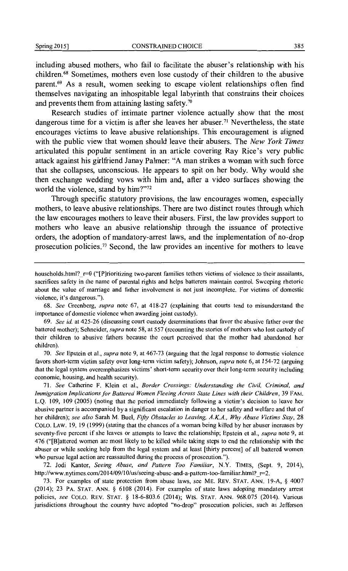including abused mothers, who fail to facilitate the abuser's relationship with his children. 68 Sometimes, mothers even lose custody of their children to the abusive parent.69 As a result, women seeking to escape violent relationships often find themselves navigating an inhospitable legal labyrinth that constrains their choices and prevents them from attaining lasting safety.<sup>70</sup>

Research studies of intimate partner violence actually show that the most dangerous time for a victim is after she leaves her abuser.<sup>71</sup> Nevertheless, the state encourages victims to leave abusive relationships. This encouragement is aligned with the public view that women should leave their abusers. The *New York Times*  articulated this popular sentiment in an article covering Ray Rice's very public attack against his girlfriend Janay Palmer: "A man strikes a woman with such force that she collapses, unconscious. He appears to spit on her body. Why would she then exchange wedding vows with him and, after a video surfaces showing the world the violence, stand by him?"<sup>72</sup>

Through specific statutory provisions, the law encourages women, especially mothers, to leave abusive relationships. There are two distinct routes through which the law encourages mothers to leave their abusers. First, the law provides support to mothers who leave an abusive relationship through the issuance of protective orders, the adoption of mandatory-arrest laws, and the implementation of no-drop prosecution policies. 73 Second, the law provides an incentive for mothers to leave

68. *See* Greenberg, *supra* note 67, at 418-27 (explaining that courts tend to misunderstand the importance of domestic violence when awarding joint custody).

70. *See* Epstein et al., *supra* note 9, at 467-73 (arguing that the legal response to domestic violence favors short-term victim safety over long-term victim safety); Johnson, *supra* note 6, at 154-72 (arguing that the legal system overemphasizes victims' short-term security over their long-term security including economic, housing, and health security).

71. *See* Catherine F. Klein ct al., *Border Crossings: Understanding the Civil, Criminal, and Immigration Implications for Battered Women Fleeing Across State Lines with their Children,* 39 FAM. L.Q. 109, 109 (2005) (noting that the period immediately following a victim's decision to leave her abusive partner is accompanied by a significant escalation in danger to her safety and welfare and that of her children); *see also* Sarah M. Buel, *Fifty Obstacles to Leaving, A.K.A., Why Abuse Victims Stay,* 28 COLO. LAW. 19, 19 (1999) (stating that the chances of a woman being killed by her abuser increases by seventy-five percent if she leaves or attempts to leave the relationship; Epstein et al., *supra* note 9, at 476 ("[B]attered women arc most likely to be killed while taking steps to end the relationship with the abuser or while seeking help from the legal system and at least [thirty percent] of all battered women who pursue legal action are reassaulted during the process of prosecution.").

72. Jodi Kantor, *Seeing Abuse, and Pattern Too Familiar,* N.Y. TIMES, (Sept. 9, 2014), http://www.nytimes.com/2014/09/10/us/seeing-abusc-and-a-pattern-too-familiar.html?\_r=2.

73. For examples of state protection from abuse laws, sec ME. REV. STAT. ANN. 19-A, § 4007 (2014); 23 PA. STAT. ANN. § 6108 (2014). For examples of state laws adopting mandatory arrest policies, *see* COLO. REV. STAT. § 18-6-803.6 (2014); WIS. STAT. ANN. 968.075 (2014). Various jurisdictions throughout the country have adopted "no-drop" prosecution policies, such as Jefferson

houscholds.html?  $r=0$  ("[P]rioritizing two-parent families tethers victims of violence to their assailants, sacrifices safety in the name of parental rights and helps batterers maintain control. Sweeping rhetoric about the value of marriage and father involvement is not just incomplete. For victims of domestic violence, it's dangerous.").

<sup>69.</sup> *See id.* at 425-26 (discussing court custody determinations that favor the abusive father over the battered mother); Schneider, *supra* note 58, at 557 (recounting the stories of mothers who lost custody of their children to abusive fathers because the court perceived that the mother had abandoned her children).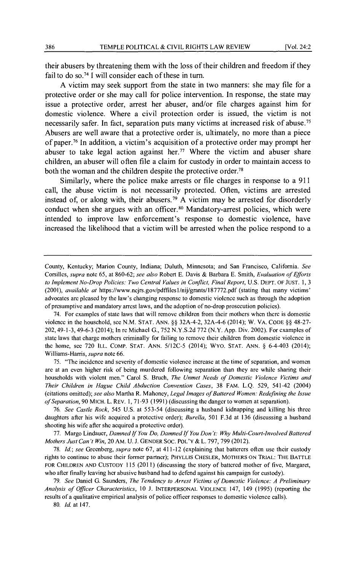their abusers by threatening them with the loss of their children and freedom if they fail to do so.<sup>74</sup> I will consider each of these in turn.

A victim may seek support from the state in two manners: she may file for a protective order or she may call for police intervention. In response, the state may issue a protective order, arrest her abuser, and/or file charges against him for domestic violence. Where a civil protection order is issued, the victim is not necessarily safer. In fact, separation puts many victims at increased risk of abuse. 75 Abusers are well aware that a protective order is, ultimately, no more than a piece of paper.<sup>76</sup> In addition, a victim's acquisition of a protective order may prompt her abuser to take legal action against her.<sup>77</sup> Where the victim and abuser share children, an abuser will often file a claim for custody in order to maintain access to both the woman and the children despite the protective order.<sup>78</sup>

Similarly, where the police make arrests or file charges in response to a 911 call, the abuse victim is not necessarily protected. Often, victims are arrested instead of, or along with, their abusers.<sup>79</sup> A victim may be arrested for disorderly conduct when she argues with an officer.<sup>80</sup> Mandatory-arrest policies, which were intended to improve law enforcement's response to domestic violence, have increased the likelihood that a victim will be arrested when the police respond to a

75. "The incidence and severity of domestic violence increase at the time of separation, and women are at an even higher risk of being murdered following separation than they are while sharing their households with violent men." Carol S. Bruch, *The Unmet Needs of Domestic Violence Victims and Their Children in Hague Child Abduction Convention Cases,* 38 FAM. L.Q. 529, 541-42 (2004) (citations omitted); *see also* Martha R. Mahoney, *Legal/mages of Battered Women: Redefining the Issue of Separation,* 90 MICH. L. REV. I, 71-93 (1991) (discussing the danger to women at separation).

76. *See Castle Rock,* 545 U.S. at 553-54 (discussing a husband kidnapping and killing his three daughters after his wife acquired a protective order); *Burel/a,* 501 F.3d at 136 (discussing a husband shooting his wife after she acquired a protective order).

77. Margo Lindauer, *Damned* If *You Do, Damned* If *You Don't: Why Multi-Court-Involved Battered Mothers Just Can't Win,* 20 AM. U. J. GENDER SOC. POL'Y & L. 797,799 (2012).

78. *!d.; see* Greenberg, *supra* note 67, at 411-12 (explaining that battcrcrs often use their custody rights to continue to abuse their former partner); PHYLLIS CHESLER, MOTHERS ON TRIAL: THE BATTLE FOR CHILDREN AND CUSTODY 115 (2011) (discussing the story of battered mother of five, Margaret, who after finally leaving her abusive husband had to defend against his campaign for custody).

79. *See* Daniel G. Saunders, *The Tendency to Arrest Victims of Domestic Violence: A Preliminary Analysis of Officer Characteristics,* 10 J. INTERPERSONAL VIOLENCE 147, 149 {1995) (reporting the results of a qualitative empirical analysis of police officer responses to domestic violence calls).

80. *Id.* at 147.

County, Kentucky; Marion County, Indiana; Duluth, Minnesota; and San Francisco, California. *See*  Corsillcs, *supra* note 65, at 860-62; *see also* Robert E. Davis & Barbara E. Smith, *Evaluation of Efforts*  to Implement No-Drop Policies: Two Central Values in Conflict, Final Report, U.S. DEPT. OF JUST. 1, 3 (2001), *available at* https://www.ncjrs.gov/pdffiles1/nij/grants/187772.pdf (stating that many victims' advocates arc pleased by the law's changing response to domestic violence such as through the adoption of presumptive and mandatory arrest laws, and the adoption of no-drop prosecution policies).

<sup>74.</sup> For examples of state laws that will remove children from their mothers when there is domestic violence in the household, sec N.M. STAT. ANN.§§ 32A-4-2, 32A-4-6 (2014); W.VA. CODE§§ 48-27- 202,49-1-3,49-6-3 (2014); In rc Michael G., 752 N.Y.S.2d 772 (N.Y. App. Div. 2002). For examples of state laws that charge mothers criminally for failing to remove their children from domestic violence in the home, sec 720 ILL. COMP. STAT. ANN. 5/12C-5 (2014); WYO. STAT. ANN. § 6-4-403 (2014); Williams-Harris, *supra* note 66.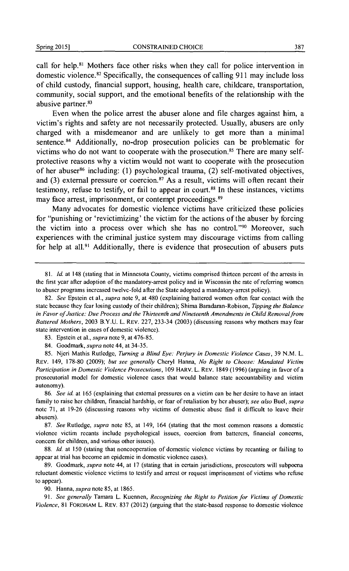call for help.<sup>81</sup> Mothers face other risks when they call for police intervention in domestic violence.<sup>82</sup> Specifically, the consequences of calling 911 may include loss of child custody, fmancial support, housing, health care, childcare, transportation, community, social support, and the emotional benefits of the relationship with the abusive partner.<sup>83</sup>

Even when the police arrest the abuser alone and file charges against **him,** a victim's rights and safety are not necessarily protected. Usually, abusers are only charged with a misdemeanor and are unlikely to get more than a minimal sentence.<sup>84</sup> Additionally, no-drop prosecution policies can be problematic for victims who do not want to cooperate with the prosecution. 85 There are many selfprotective reasons why a victim would not want to cooperate with the prosecution of her abuser<sup>86</sup> including: (1) psychological trauma, (2) self-motivated objectives, and (3) external pressure or coercion.<sup>87</sup> As a result, victims will often recant their testimony, refuse to testify, or fail to appear in court. 88 **In** these instances, victims may face arrest, imprisonment, or contempt proceedings.<sup>89</sup>

Many advocates for domestic violence victims have criticized these policies for "punishing or 'revictimizing' the victim for the actions of the abuser by forcing the victim into a process over which she has no control. "90 Moreover, such experiences with the criminal justice system may discourage victims from calling for help at all.<sup>91</sup> Additionally, there is evidence that prosecution of abusers puts

<sup>81.</sup> *Id.* at 148 (stating that in Minnesota County, victims comprised thirteen percent of the arrests in the first year after adoption of the mandatory-arrest policy and in Wisconsin the rate of referring women to abuser programs increased twelve-fold after the State adopted a mandatory-arrest policy).

<sup>82.</sup> *See* Epstein ct al., *supra* note 9, at 480 (explaining battered women often fear contact with the state because they fear losing custody of their children); Shima Baradaran-Robison, *Tipping the Balance in Favor of Justice: Due Process and the Thirteenth and Nineteenth Amendments in Child Removal from Battered Mothers,* 2003 B.Y.U. L. REV. 227, 233-34 (2003) (discussing reasons why mothers may fear state intervention in cases of domestic violence).

<sup>83.</sup> Epstein et al., *supra* note 9, at 476-85.

<sup>84.</sup> Goodmark, *supra* note 44, at 34-35.

<sup>85.</sup> Njcri Mathis Rutledge, *Turning a Blind Eye: Perjury in Domestic Violence Cases,* 39 N.M. L. REV. 149, 178-80 (2009); *but see generally* Cheryl Hanna, *No Right to Choose: Mandated Victim Participation in Domestic Violence Prosecutions, 109 HARV. L. REV. 1849 (1996) (arguing in favor of a* prosecutorial model for domestic violence cases that would balance state accountability and victim autonomy).

<sup>86.</sup> *See id.* at 165 (explaining that external pressures on a victim can be her desire to have an intact family to raise her children, financial hardship, or fear of retaliation by her abuser); *see also* Buel, *supra*  note 71, at 19-26 (discussing reasons why victims of domestic abuse find it difficult to leave their abusers).

<sup>87.</sup> *See* Rutledge, *supra* note 85, at 149, 164 (stating that the most common reasons a domestic violence victim recants include psychological issues, coercion from battercrs, financial concerns, concern for children, and various other issues).

<sup>88.</sup> *Id.* at 150 (stating that noncooperation of domestic violence victims by recanting or failing to appear at trial has become an epidemic in domestic violence cases).

<sup>89.</sup> Goodmark, *supra* note 44, at 17 (stating that in certain jurisdictions, prosecutors will subpoena reluctant domestic violence victims to testify and arrest or request imprisonment of victims who refuse to appear).

<sup>90.</sup> Hanna, *supra* note 85, at 1865.

<sup>91.</sup> *See generally* Tamara L. Kuennen, *Recognizing the Right to Petition for Victims of Domestic Violence,* 81 FORDHAM L. REV. 837 (2012) (arguing that the state-based response to domestic violence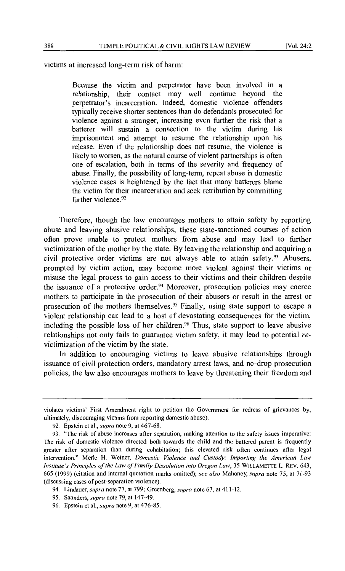victims at increased long-term risk of harm:

Because the victim and perpetrator have been involved in a relationship, their contact may well continue beyond the perpetrator's incarceration. Indeed, domestic violence offenders typically receive shorter sentences than do defendants prosecuted for violence against a stranger, increasing even further the risk that a barterer will sustain a connection to the victim during his imprisonment and attempt to resume the relationship upon his release. Even if the relationship does not resume, the violence is likely to worsen, as the natural course of violent partnerships is often one of escalation, both in tenns of the severity and frequency of abuse. Finally, the possibility of long-term, repeat abuse in domestic violence cases is heightened by the fact that many barterers blame the victim for their incarceration and seek retribution by committing further violence.<sup>92</sup>

Therefore, though the law encourages mothers to attain safety by reporting abuse and leaving abusive relationships, these state-sanctioned courses of action often prove unable to protect mothers from abuse and may lead to further victimization of the mother by the state. By leaving the relationship and acquiring a civil protective order victims are not always able to attain safety.<sup>93</sup> Abusers, prompted by victim action, may become more violent against their victims or misuse the legal process to gain access to their victims and their children despite the issuance of a protective order.94 Moreover, prosecution policies may coerce mothers to participate in the prosecution of their abusers or result in the arrest or prosecution of the mothers themselves. 95 Finally, using state support to escape a violent relationship can lead to a host of devastating consequences for the victim, including the possible loss of her children. 96 Thus, state support to leave abusive relationships not only fails to guarantee victim safety, it may lead to potential *re*victimization of the victim by the state.

In addition to encouraging victims to leave abusive relationships through issuance of civil protection orders, mandatory arrest laws, and no-drop prosecution policies, the law also encourages mothers to leave by threatening their freedom and

violates victims' First Amendment right to petition the Government for redress of grievances by, ultimately, discouraging victims from reporting domestic abuse).

<sup>92.</sup> Epstein et al., *supra* note 9, at 467-68.

<sup>93. &</sup>quot;The risk of abuse increases after separation, making attention to the safety issues imperative: The risk of domestic violence directed both towards the child and the battered parent is frequently greater after separation than during cohabitation; this elevated risk often continues after legal intervention." Merle H. Weiner, *Domestic Violence and Custody: Importing the American Law Institute's Principles of the Law of Family Dissolution into Oregon Law,* 35 WILLAMETTE L. REV. 643, 665 (1999) (citation and internal quotation marks omitted); *see also* Mahoney, *supra* note 75, at 71-93 (discussing cases of post-separation violence).

<sup>94.</sup> Lindauer, *supra* note 77, at 799; Greenberg, *supra* note 67, at 411-12.

<sup>95.</sup> Saunders, *supra* note 79, at 147-49.

<sup>96.</sup> Epstein et al., *supra* note 9, at 476-85.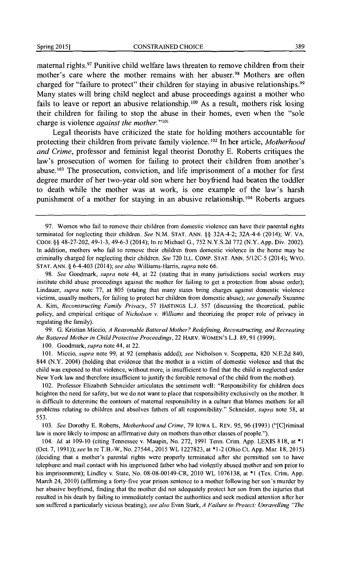maternal rights.97 Punitive child welfare laws threaten to remove children from their mother's care where the mother remains with her abuser.<sup>98</sup> Mothers are often charged for "failure to protect" their children for staying in abusive relationships.<sup>99</sup> Many states will bring child neglect and abuse proceedings against a mother who fails to leave or report an abusive relationship. 100 As a result, mothers risk losing their children for failing to stop the abuse in their homes, even when the "sole charge is violence *against the mother.*"<sup>101</sup>

Legal theorists have criticized the state for holding mothers accountable for protecting their children from private family violence.<sup>102</sup> In her article, *Motherhood and Crime,* professor and feminist legal theorist Dorothy E. Roberts critiques the law's prosecution of women for failing to protect their children from another's abuse. 103 The prosecution, conviction, and life imprisonment of a mother for first degree murder of her two-year old son where her boyfriend had beaten the toddler to death while the mother was at work, is one example of the law's harsh punishment of a mother for staying in an abusive relationship. 104 Roberts argues

98. *See* Goodmark, *supra* note 44, at 22 (stating that in many jurisdictions social workers may institute child abuse proceedings against the mother for failing to get a protection from abuse order); Lindauer, *supra* note 77, at 805 (stating that many states bring charges against domestic violence victims, usually mothers, for failing to protect her children from domestic abuse); *see generally* Suzanne A. Kim, *Reconstructing Family Privacy,* 57 HASTINGS L.J. 557 (discussing the theoretical, public policy, and empirical critique of *Nicholson v. Williams* and theorizing the proper role of privacy in regulating the family).

99. G. Kristian Miccio, *A Reasonable Battered Mother? Redefining, Reconstructing, and Recreating the Battered Mother in Child Protective Proceedings,* 22 HARV. WOMEN'S L.J. 89,91 (1999).

100. Goodmark, *supra* note 44, at 22.

101. Miccio, *supra* note 99, at 92 (emphasis added); *see* Nicholson v. Scoppetta, 820 N.E.2d 840, 844 (N.Y. 2004) (holding that evidence that the mother is a victim of domestic violence and that the child was exposed to that violence, without more, is insufficient to find that the child is neglected under New York law and therefore insufficient to justify the forcible removal of the child from the mother).

102. Professor Elizabeth Schneider articulates the sentiment well: "Responsibility for children docs heighten the need for safety, but we do not want to place that responsibility exclusively on the mother. It is difficult to determine the contours of maternal responsibility in a culture that blames mothers for all problems relating to children and absolves fathers of all responsibility." Schneider, *supra* note 58, at 553.

103. *See* Dorothy E. Roberts, *Motherhood and Crime,* 79 IOWA L. REV. 95, 96 (1993) ("[C]riminal law is more likely to impose an affirmative duty on mothers than other classes of people.").

104. Jd. at 109-10 (citing Tennessee v. Maupin, No. 272, 1991 Tenn. Crim. App. LEXIS 818, at \*I (Oct. 7, 1991)); *see* In rc T.B.-W, No. 27544.,2015 WL 1227823, at \*1-2 (Ohio Ct. App. Mar. 18, 2015) (deciding that a mother's parental rights were properly terminated after she permitted son to have telephone and mail contact with his imprisoned father who had violently abused mother and son prior to his imprisonment); Lindley v. State, No. 08-08-00149-CR, 2010 WL 1076138, at \*1 (Tex. Crim. App. March 24, 2010) (affirming a forty-five year prison sentence to a mother following her son's murder by her abusive boyfriend, finding that the mother did not adequately protect her son from the injuries that resulted in his death by failing to immediately contact the authorities and seck medical attention after her son suffered a particularly vicious beating); *see also* Evan Stark, *A Failure to Protect: Unravelling "The* 

<sup>97.</sup> Women who fail to remove their children from domestic violence can have their parental rights terminated for neglecting their children. *See* N.M. STAT. ANN. §§ 32A-4-2; 32A-4-6 (2014); W.VA. CODE§§ 48-27-202,49-1-3, 49-6-3 (2014); In re Michael G., 752 N.Y.S.2d 772 (N.Y. App. Div. 2002). In addition, mothers who fail to remove their children from domestic violence in the home may be criminally charged for neglecting their children. *See* 720 ILL. COMP. STAT. ANN. 5/12C-5 (2014); WYO. STAT. ANN.§ 6-4-403 (2014); *see also* Williams-Harris, *supra* note 66.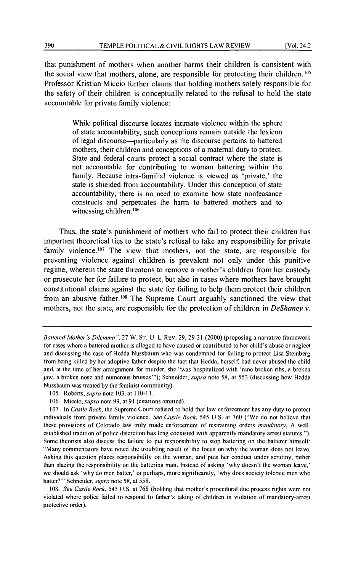that punishment of mothers when another harms their children is consistent with the social view that mothers, alone, are responsible for protecting their children. <sup>105</sup> Professor Kristian Miccio further claims that holding mothers solely responsible for the safety of their children is conceptually related to the refusal to hold the state accountable for private family violence:

> While political discourse locates intimate violence within the sphere of state accountability, such conceptions remain outside the lexicon of legal discourse-particularly as the discourse pertains to battered mothers, their children and conceptions of a maternal duty to protect. State and federal courts protect a social contract where the state is not accountable for contributing to woman battering within the family. Because intra-familial violence is viewed as 'private,' the state is shielded from accountability. Under this conception of state accountability, there is no need to examine how state nonfeasance constructs and perpetuates the harm to battered mothers and to witnessing children.<sup>106</sup>

Thus, the state's punishment of mothers who fail to protect their children has important theoretical ties to the state's refusal to take any responsibility for private family violence.<sup>107</sup> The view that mothers, not the state, are responsible for preventing violence against children is prevalent not only under this punitive regime, wherein the state threatens to remove a mother's children from her custody or prosecute her for failure to protect, but also in cases where mothers have brought constitutional claims against the state for failing to help them protect their children from an abusive father. 108 The Supreme Court arguably sanctioned the view that mothers, not the state, are responsible for the protection of children in *DeShaney v.* 

108. See Castle Rock, 545 U.S. at 768 (holding that mother's procedural due process rights were not violated where police failed to respond to father's taking of children in violation of mandatory-arrest protective order).

*Battered Mother's Dilemma",* 27 W. ST. U. L. REV. 29, 29-31 (2000) (proposing a narrative framework for cases where a battered mother is alleged to have caused or contributed to her child's abuse or neglect and discussing the case of Hedda Nussbaum who was condemned for failing to protect Lisa Steinberg from being killed by her adoptive father despite the fact that Hedda, herself, had never abused the child and, at the time of her arraignment for murder, she "was hospitalized with 'nine broken ribs, a broken jaw, a broken nose and numerous bruises'"); Schneider, *supra* note 58, at 553 (discussing how Hedda Nussbaum was treated by the feminist community).

<sup>105.</sup> Roberts, *supra* note 103, at 110-11.

<sup>106.</sup> Miccio, *supra* note 99, at 91 (citations omitted).

<sup>107.</sup> In *Castle Rock,* the Supreme Court refused to hold that law enforcement has any duty to protect individuals from private family violence. *See Castle Rock,* 545 U.S. at 760 ("We do not believe that these provisions of Colorado law truly made enforcement of restraining orders *mandatory.* A wellestablished tradition of police discretion has long coexisted with apparently mandatory arrest statutes."). Some theorists also discuss the failure to put responsibility to stop battering on the battercr himself: "Many commentators have noted the troubling result of the focus on why the woman docs not leave. Asking this question places responsibility on the woman, and puts her conduct under scrutiny, rather than placing the responsibility on the battering man. Instead of asking 'why doesn't the woman leave,' we should ask 'why do men batter,' or perhaps, more significantly, 'why docs society tolerate men who batter?'" Schneider, *supra* note 58, at 558.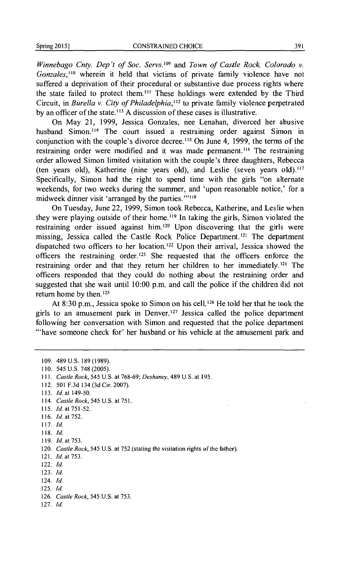*Winnebago Cnty. Dep't of Soc. Servs.*<sup>109</sup> and *Town of Castle Rock, Colorado v. Gonzales,* 110 wherein it held that victims of private family violence have not suffered a deprivation of their procedural or substantive due process rights where the state failed to protect them.<sup>111</sup> These holdings were extended by the Third Circuit, in *Bure/la v. City of Philadelphia,* 112 to private family violence perpetrated by an officer of the state.<sup>113</sup> A discussion of these cases is illustrative.

On May 21, 1999, Jessica Gonzales, nee Lenahan, divorced her abusive husband Simon.<sup>114</sup> The court issued a restraining order against Simon in conjunction with the couple's divorce decree. 115 On June 4, 1999, the terms of the restraining order were modified and it was made permanent.<sup>116</sup> The restraining order allowed Simon limited visitation with the couple's three daughters, Rebecca (ten years old), Katherine (nine years old), and Leslie (seven years old). <sup>117</sup> Specifically, Simon had the right to spend time with the girls "on alternate weekends, for two weeks during the summer, and 'upon reasonable notice,' for a midweek dinner visit 'arranged by the parties."<sup>118</sup>

On Tuesday, June 22, 1999, Simon took Rebecca, Katherine, and Leslie when they were playing outside of their home.<sup>119</sup> In taking the girls, Simon violated the restraining order issued against him. 120 Upon discovering that the girls were missing, Jessica called the Castle Rock Police Department. 121 The department dispatched two officers to her location.<sup>122</sup> Upon their arrival, Jessica showed the officers the restraining order.<sup>123</sup> She requested that the officers enforce the restraining order and that they return her children to her immediately.<sup>124</sup> The officers responded that they could do nothing about the restraining order and suggested that she wait until 10:00 p.m. and call the police if the children did not return home by then. <sup>125</sup>

At 8:30 p.m., Jessica spoke to Simon on his cell.<sup>126</sup> He told her that he took the girls to an amusement park in Denver.<sup>127</sup> Jessica called the police department following her conversation with Simon and requested that the police department '"have someone check for' her husband or his vehicle at the amusement park and

109. 489 u.s. 189 (1989). 110. 545 U.S. 748 (2005). Ill. *Castle Rock,* 545 U.S. at 768-69; *Deshaney,* 489 U.S. at 195. 112. 501 F.3d 134 (3d Cir. 2007). 113. *!d.* at 149-50. 114. *Castle Rock,* 545 U.S. at 751. 115. *!d.* at 751-52. 116. */d.* at 752. 117. *!d.*  118. Id. 119. *!d.* at 753. 120. *Castle Rock,* 545 U.S. at 752 (stating the visitation rights of the father). 121. *!d.* at 753. 122. */d.*  123. *!d.*  124. *!d.*  125. Id. 126. *Castle Rock,* 545 U.S. at 753. 127. */d.*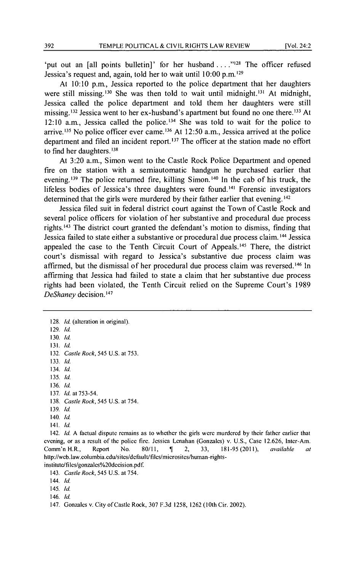'put out an [all points bulletin]' for her husband ...."<sup>128</sup> The officer refused Jessica's request and, again, told her to wait until 10:00 p.m.<sup>129</sup>

At 10:10 p.m., Jessica reported to the police department that her daughters were still missing.<sup>130</sup> She was then told to wait until midnight.<sup>131</sup> At midnight, Jessica called the police department and told them her daughters were still missing. 132 Jessica went to her ex-husband's apartment but found no one there. 133 At 12:10 a.m., Jessica called the police. 134 She was told to wait for the police to arrive.<sup>135</sup> No police officer ever came.<sup>136</sup> At 12:50 a.m., Jessica arrived at the police department and filed an incident report.<sup>137</sup> The officer at the station made no effort to find her daughters.<sup>138</sup>

At 3:20a.m., Simon went to the Castle Rock Police Department and opened fire on the station with a semiautomatic handgun he purchased earlier that evening. 139 The police returned fire, killing Simon. 140 In the cab of his truck, the lifeless bodies of Jessica's three daughters were found. 141 Forensic investigators determined that the girls were murdered by their father earlier that evening.<sup>142</sup>

Jessica filed suit in federal district court against the Town of Castle Rock and several police officers for violation of her substantive and procedural due process rights. 143 The district court granted the defendant's motion to dismiss, finding that Jessica failed to state either a substantive or procedural due process claim. 144 Jessica appealed the case to the Tenth Circuit Court of Appeals. 145 There, the district court's dismissal with regard to Jessica's substantive due process claim was affirmed, but the dismissal of her procedural due process claim was reversed. 146 In affirming that Jessica had failed to state a claim that her substantive due process rights had been violated, the Tenth Circuit relied on the Supreme Court's 1989 *DeShaney* decision. <sup>147</sup>

128. *!d.* (alteration in original). 129. *!d.*  130. *!d.*  131. *!d.*  132. *Castle Rock,* 545 U.S. at 753. 133. *!d.*  134. *!d.*  135. *!d.*  136. *!d.*  137. *!d.* at 753-54. 138. *Castle Rock,* 545 U.S. at 754. 139. *!d.*  140. *!d.*  141. *!d.*  142. *Id.* A factual dispute remains as to whether the girls were murdered by their father earlier that

evening, or as a result of the police fire. Jessica Lenahan (Gonzales) v. U.S., Case 12.626, Inter-Am.<br>
Comm'n H.R. Renort No. 80/11, ¶ 2, 33, 181-95 (2011), *available at* Comm'n H.R., Report No. 80111, 'If 2, 33, 181-95 (2011), *available at*  http://wcb.law.columbia.edu/sites/dcfault/filcs/micrositcs/human-rightsinstitute/files/gonzales%20decision.pdf.

143. *Castle Rock,* 545 U.S. at 754.

144. *!d.* 

145. *!d.* 

146. *!d.* 

147. Gonzales v. City of Castle Rock, 307 F.3d 1258, 1262 (10th Cir. 2002).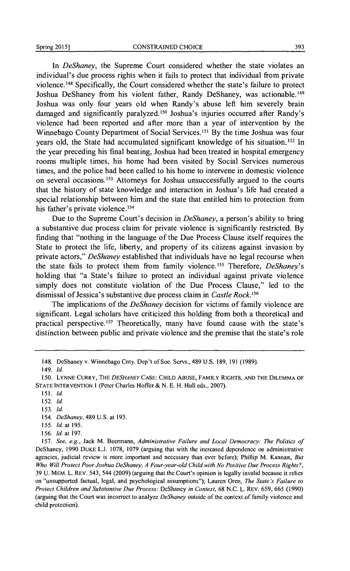In *DeShaney,* the Supreme Court considered whether the state violates an individual's due process rights when it fails to protect that individual from private violence. 148 Specifically, the Court considered whether the state's failure to protect Joshua DeShaney from his violent father, Randy DeShaney, was actionable.<sup>149</sup> Joshua was only four years old when Randy's abuse left him severely brain damaged and significantly paralyzed.<sup>150</sup> Joshua's injuries occurred after Randy's violence had been reported and after more than a year of intervention by the Winnebago County Department of Social Services. 151 By the time Joshua was four years old, the State had accumulated significant knowledge of his situation.<sup>152</sup> In the year preceding his final beating, Joshua had been treated in hospital emergency rooms multiple times, his home had been visited by Social Services numerous times, and the police had been called to his home to intervene in domestic violence on several occasions. 153 Attorneys for Joshua unsuccessfully argued to the courts that the history of state knowledge and interaction in Joshua's life had created a special relationship between him and the state that entitled him to protection from his father's private violence.<sup>154</sup>

Due to the Supreme Court's decision in *DeShaney,* a person's ability to bring a substantive due process claim for private violence is significantly restricted. By fmding that "nothing in the language of the Due Process Clause itself requires the State to protect the life, liberty, and property of its citizens against invasion by private actors," *DeShaney* established that individuals have no legal recourse when the state fails to protect them from family violence. 155 Therefore, *DeShaney's*  holding that "a State's failure to protect an individual against private violence simply does not constitute violation of the Due Process Clause," led to the dismissal of Jessica's substantive due process claim in *Castle Rock.* <sup>156</sup>

The implications of the *DeShaney* decision for victims of family violence are significant. Legal scholars have criticized this holding from both a theoretical and practical perspective. 157 Theoretically, many have found cause with the state's distinction between public and private violence and the premise that the state's role

- 155. */d.* at 195.
- 156. */d.* at 197.

157. *See, e.g.,* Jack M. Beermann, *Administrative Failure and Local Democracy: The Politics of*  DeShancy, 1990 DUKE L.J. 1078, 1079 (arguing that with the increased dependence on administrative agencies, judicial review is more important and necessary than ever before); Phillip M. Kannan, *But Who Will Protect Poor Joshua DeShaney, A Four-year-old Child with No Positive Due Process Rights?,*  39 U. MEM. L. REV. 543, 544 (2009) (arguing that the Court's opinion is legally invalid because it relics on "unsupported factual, legal, and psychological assumptions"); Lauren Oren, *The State's Failure to Protect Children and Substantive Due Process:* DcShancy *in Context,* 68 N.C. L. REV. 659, 665 (1990) (arguing that the Court was incorrect to analyze *DeShaney* outside of the context of family violence and child protection).

<sup>148.</sup> DcShaney v. Winnebago Cnty. Dep't of Soc. Servs., 489 U.S. 189, 191 (1989).

<sup>149.</sup> */d.* 

<sup>150.</sup> LYNNE CURRY, THE *DESHANEYCASE:* CHILD ABUSE, FAMILY RIGHTS, AND THE DILEMMA OF STATE INTERVENTION I (Peter Charles Hoffer & N. E. H. Hull eds., 2007).

<sup>151.</sup> *!d.* 

<sup>152.</sup> */d.* 

<sup>153.</sup> */d.* 

<sup>154.</sup> *DeShaney,* 489 U.S. at 193.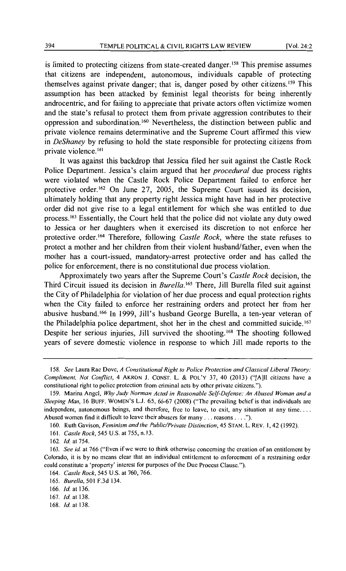is limited to protecting citizens from state-created danger. 158 This premise assumes that citizens are independent, autonomous, individuals capable of protecting themselves against private danger; that is, danger posed by other citizens. 159 This assumption has been attacked by feminist legal theorists for being inherently androcentric, and for failing to appreciate that private actors often victimize women and the state's refusal to protect them from private aggression contributes to their oppression and subordination. 160 Nevertheless, the distinction between public and private violence remains determinative and the Supreme Court affrrmed this view in *DeShaney* by refusing to hold the state responsible for protecting citizens from private violence. <sup>161</sup>

It was against this backdrop that Jessica filed her suit against the Castle Rock Police Department. Jessica's claim argued that her *procedural* due process rights were violated when the Castle Rock Police Department failed to enforce her protective order.<sup>162</sup> On June 27, 2005, the Supreme Court issued its decision, ultimately holding that any property right Jessica might have had in her protective order did not give rise to a legal entitlement for which she was entitled to due process. 163 Essentially, the Court held that the police did not violate any duty owed to Jessica or her daughters when it exercised its discretion to not enforce her protective order.<sup>164</sup> Therefore, following *Castle Rock*, where the state refuses to protect a mother and her children from their violent husband/father, even when the mother has a court-issued, mandatory-arrest protective order and has called the police for enforcement, there is no constitutional due process violation.

Approximately two years after the Supreme Court's *Castle Rock* decision, the Third Circuit issued its decision in *Burella*.<sup>165</sup> There, Jill Burella filed suit against the City of Philadelphia for violation of her due process and equal protection rights when the City failed to enforce her restraining orders and protect her from her abusive husband. 166 In 1999, Jill's husband George Burella, a ten-year veteran of the Philadelphia police department, shot her in the chest and committed suicide. <sup>167</sup> Despite her serious injuries, Jill survived the shooting. 168 The shooting followed years of severe domestic violence in response to which Jill made reports to the

<sup>158.</sup> *See* Laura Rae Dove, *A Constitutional Right to Police Protection and Classical Liberal Theory: Compliment, Not Conflict*, 4 AKRON J. CONST. L. & POL'Y 37, 40 (2013) ("[A]ll citizens have a constitutional right to police protection from criminal acts by other private citizens.").

<sup>159.</sup> Marina Angel, *Why Judy Norman Acted in Reasonable Self-Defense: An Abused Woman and a Sleeping Man,* 16 BUFF. WOMEN'S L.J. 65,66-67 (2008) ("The prevailing belief is that individuals arc independent, autonomous beings, and therefore, free to leave, to exit, any situation at any time.... Abused women find it difficult to leave their abusers for many ... reasons .... ").

<sup>160.</sup> Ruth Gavison, *Feminism and the Public/Private Distinction,* 45 STAN. L. REV. I, 42 (1992).

<sup>161.</sup> *Castle Rock,* 545 U.S. at 755, n.l3.

<sup>162.</sup> */d.* at 754.

<sup>163.</sup> *See id.* at 766 ("Even ifwe were to think otherwise concerning the creation of an entitlement by Colorado, it is by no means clear that an individual entitlement to enforcement of a restraining order could constitute a 'property' interest for purposes of the Due Process Clause.").

<sup>164.</sup> *Castle Rock,* 545 U.S. at 760,766.

<sup>165.</sup> *Burella,* 501 F.3d 134.

<sup>166.</sup> */d.* at 136.

<sup>167.</sup> */d.* at 138.

<sup>168.</sup> */d.* at 138.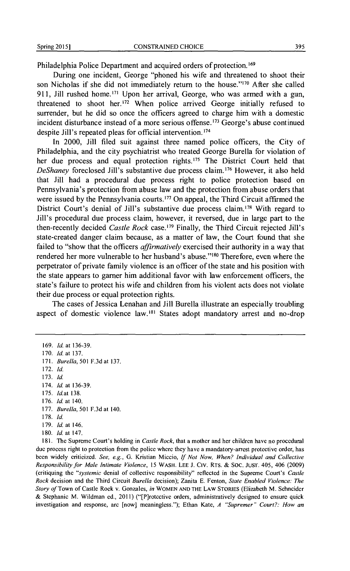Philadelphia Police Department and acquired orders of protection.<sup>169</sup>

During one incident, George "phoned his wife and threatened to shoot their son Nicholas if she did not immediately return to the house."<sup>170</sup> After she called 911, Jill rushed home.<sup>171</sup> Upon her arrival, George, who was armed with a gun, threatened to shoot her.<sup>172</sup> When police arrived George initially refused to surrender, but he did so once the officers agreed to charge him with a domestic incident disturbance instead of a more serious offense. 173 George's abuse continued despite Jill's repeated pleas for official intervention. <sup>174</sup>

In 2000, Jill filed suit against three named police officers, the City of Philadelphia, and the city psychiatrist who treated George Burella for violation of her due process and equal protection rights.<sup>175</sup> The District Court held that *DeShaney* foreclosed Jill's substantive due process claim.<sup>176</sup> However, it also held that Jill had a procedural due process right to police protection based on Pennsylvania's protection from abuse law and the protection from abuse orders that were issued by the Pennsylvania courts.<sup>177</sup> On appeal, the Third Circuit affirmed the District Court's denial of Jill's substantive due process claim.<sup>178</sup> With regard to Jill's procedural due process claim, however, it reversed, due in large part to the then-recently decided *Castle Rock* case.<sup>179</sup> Finally, the Third Circuit rejected Jill's state-created danger claim because, as a matter of law, the Court found that she failed to "show that the officers *affirmatively* exercised their authority in a way that rendered her more vulnerable to her husband's abuse."<sup>180</sup> Therefore, even where the perpetrator of private family violence is an officer of the state and his position with the state appears to gamer him additional favor with law enforcement officers, the state's failure to protect his wife and children from his violent acts does not violate their due process or equal protection rights.

The cases of Jessica Lenahan and Jill Burella illustrate an especially troubling aspect of domestic violence law. 181 States adopt mandatory arrest and no-drop

- 175. *Id.*at 138.
- 176. */d.* at 140.
- 177. *Burella,* 501 F.3d at 140.
- 178. */d.*
- 179. */d.* at 146.
- 180. */d.* at 147.

181. The Supreme Court's holding in *Castle Rock,* that a mother and her children have no procedural due process right to protection from the police where they have a mandatory-arrest protective order, has been widely criticized. *See, e.g.,* G. Kristian Miccio, If *Not Now, When? Individual and Collective Responsibility for Male Intimate Violence,* 15 WASH. LEE J. Clv. Rrs. & Soc. JUST. 405, 406 (2009) (critiquing the *"systemic* denial of collective responsibility" reflected in the Supreme Court's *Castle Rock* decision and the Third Circuit *Burella* decision); Zanita E. Fenton, *State Enabled Violence: The Story of* Town of Castle Rock v. Gonzales, *in* WOMEN AND THE LAW STORIES (Elizabeth M. Schneider & Stephanie M. Wildman ed., 2011) ("[P]rotcctive orders, administratively designed to ensure quick investigation and response, arc [now] meaningless."); Ethan Kate, *A "Supremer" Court?: How an* 

<sup>169.</sup> */d.* at 136-39.

<sup>170.</sup> *Id.* at 137.

<sup>171.</sup> *Burella,* 501 F.3dat 137.

<sup>172.</sup> */d.* 

<sup>173.</sup> */d.* 

<sup>174.</sup> */d.* at 136-39.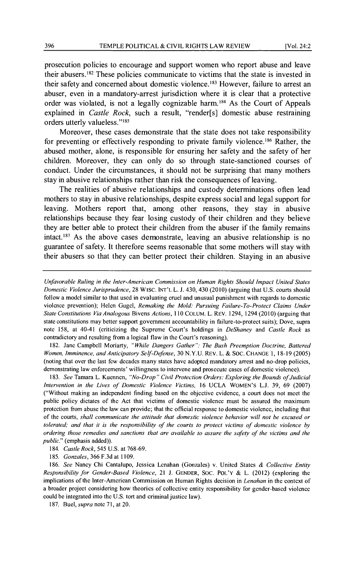prosecution policies to encourage and support women who report abuse and leave their abusers. 182 These policies communicate to victims that the state is invested in their safety and concerned about domestic violence. 183 However, failure to arrest an abuser, even in a mandatory-arrest jurisdiction where it is clear that a protective order was violated, is not a legally cognizable harm. 184 As the Court of Appeals explained in *Castle Rock,* such a result, "render[s] domestic abuse restraining orders utterly valueless."<sup>185</sup>

Moreover, these cases demonstrate that the state does not take responsibility for preventing or effectively responding to private family violence.<sup>186</sup> Rather, the abused mother, alone, is responsible for ensuring her safety and the safety of her children. Moreover, they can only do so through state-sanctioned courses of conduct. Under the circumstances, it should not be surprising that many mothers stay in abusive relationships rather than risk the consequences of leaving.

The realities of abusive relationships and custody determinations often lead mothers to stay in abusive relationships, despite express social and legal support for leaving. Mothers report that, among other reasons, they stay in abusive relationships because they fear losing custody of their children and they believe they are better able to protect their children from the abuser if the family remains intact. 187 As the above cases demonstrate, leaving an abusive relationship is no guarantee of safety. It therefore seems reasonable that some mothers will stay with their abusers so that they can better protect their children. Staying in an abusive

182. Jane Campbell Moriarty, *"While Dangers Gather": The Bush Preemption Doctrine. Battered Women. Imminence, and Anticipatory Self-Defense,* 30 N. Y.U. REV. L. & Soc. CHANGE I, 18-19 (2005) (noting that over the last few decades many states have adopted mandatory arrest and no-drop policies, demonstrating law enforcements' willingness to intervene and prosecute cases of domestic violence).

183. *See* Tamara L. Kuennen, *"No-Drop" Civil Protection Orders: Exploring the Bounds of Judicial Intervention in the Lives of Domestic Violence Victims,* 16 UCLA WOMEN'S L.J. 39, 69 (2007) ("Without making an independent finding based on the objective evidence, a court docs not meet the public policy dictates of the Act that victims of domestic violence must be assured the maximum protection from abuse the law can provide; that the official response to domestic violence, including that of the courts, *shall communicate the attitude that domestic violence behavior will not be excused or tolerated; and that it is the responsibility of the courts to protect victims of domestic violence by ordering those remedies and sanctions that are available to assure the safety of the victims and the public."* (emphasis added)).

186. *See* Nancy Chi Cantalupo, Jessica Lenahan (Gonzales) v. United States & *Collective Entity Responsibility for Gender-Based Violence,* 21 J. GENDER, Soc. POL'Y & L. (2012) (exploring the implications of the Inter-American Commission on Human Rights decision in *Lenahan* in the context of a broader project considering how theories of collective entity responsibility for gender-based violence could be integrated into the U.S. tort and criminal justice law).

187. Buel, *supra* note 71, at 20.

*Unfavorable Ruling in the Inter-American Commission on Human Rights Should Impact United States Domestic Violence Jurisprudence,* 28 WISC. INT'L L. J. 430,430 (2010) (arguing that U.S. courts should follow a model similar to that used in evaluating cruel and unusual punishment with regards to domestic violence prevention); Helen Gugel, *Remaking the Mold: Pursuing Failure-To-Protect Claims Under State Constitutions Via Analogous* Bivens *Actions,* 110 COLUM. L. REV. 1294, 1294 (2010) (arguing that state constitutions may better support government accountability in failure-to-protect suits); Dove, supra note 158, at 40-41 (criticizing the Supreme Court's holdings in *DeShaney* and *Castle Rock* as contradictory and resulting from a logical flaw in the Court's reasoning).

<sup>184.</sup> *Castle Rock,* 545 U.S. at 768-69.

<sup>185.</sup> *Gonzales,* 366 F.3d at 1109.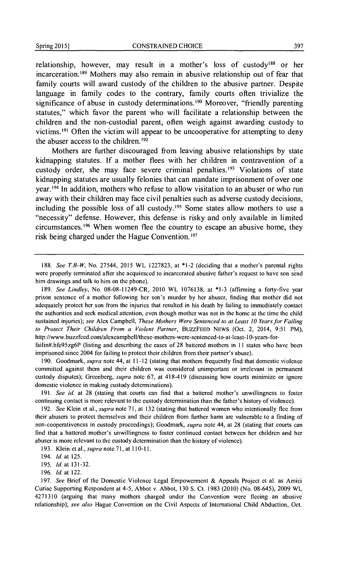relationship, however, may result in a mother's loss of custody<sup>188</sup> or her incarceration. 189 Mothers may also remain in abusive relationship out of fear that family courts will award custody of the children to the abusive partner. Despite language in family codes to the contrary, family courts often trivialize the significance of abuse in custody determinations.<sup>190</sup> Moreover, "friendly parenting statutes," which favor the parent who will facilitate a relationship between the children and the non-custodial parent, often weigh against awarding custody to victims. 191 Often the victim will appear to be uncooperative for attempting to deny the abuser access to the children. <sup>192</sup>

Mothers are further discouraged from leaving abusive relationships by state kidnapping statutes. lf a mother flees with her children in contravention of a custody order, she may face severe criminal penalties.<sup>193</sup> Violations of state kidnapping statutes are usually felonies that can mandate imprisonment of over one year. 194 ln addition, mothers who refuse to allow visitation to an abuser or who run away with their children may face civil penalties such as adverse custody decisions, including the possible loss of all custody. 195 Some states allow mothers to use a "necessity" defense. However, this defense is risky and only available in limited circumstances. 196 When women flee the country to escape an abusive home, they risk being charged under the Hague Convention. 197

189. *See Lindley,* No. 08-08-11249-CR, 2010 WL 1076138, at \*1-3 (affirming a forty-five year prison sentence of a mother following her son's murder by her abuser, finding that mother did not adequately protect her son from the injuries that resulted in his death by failing to immediately contact the authorities and seek medical attention, even though mother was not in the home at the time the child sustained injuries); *see* Alex Campbell, *These Mothers Were Sentenced to at Least 10 Years for Failing to Protect Their Children From a Violent Partner,* BUZZFEED NEWS (Oct. 2, 2014, 9:51 PM), http://www.buzzfccd.com/alcxcampbell/thcsc-mothers-were-sentenced-to-at-least-10-years-for-

failin#.hfe95zg6P (listing and describing the cases of 28 battered mothers in 11 states who have been imprisoned since 2004 for failing to protect their children from their partner's abuse).

190. Goodmark, *supra* note 44, at 11-12 (stating that mothers frequently find that domestic violence committed against them and their children was considered unimportant or irrelevant in permanent custody disputes); Greenberg, *supra* note 67, at 418-419 (discussing how courts minimize or ignore domestic violence in making custody determinations).

191. *See id.* at 28 (stating that courts can find that a battered mother's unwillingness to foster continuing contact is more relevant to the custody determination than the father's history of violence).

192. *See* Klein et al., *supra* note 71, at 132 (stating that battered women who intentionally flee from their abusers to protect themselves and their children from further harm are vulnerable to a finding of non-cooperativeness in custody proceedings); Goodmark, *supra* note 44, at 28 (stating that courts can find that a battered mother's unwillingness to foster continued contact between her children and her abuser is more relevant to the custody determination than the history of violence).

193. Klein ct al., *supra* note 71, at II 0-11.

<sup>188.</sup> *See T.B-W,* No. 27544, 2015 WL 1227823, at \*1-2 (deciding that a mother's parental rights were properly terminated after she acquiesced to incarcerated abusive father's request to have son send him drawings and talk to him on the phone).

<sup>194.</sup> */d.* at 125.

<sup>195.</sup> */d.* at 131-32.

<sup>196.</sup> */d.* at 122.

<sup>197.</sup> *See* Brief of the Domestic Violence Legal Empowerment & Appeals Project ct al. as Amici Curiae Supporting Respondent at 4-5, Abbot v. Abbot, 130 S. Ct. 1983 (2010) (No. 08-645), 2009 WL 4271310 (arguing that many mothers charged under the Convention were fleeing an abusive relationship); *see also* Hague Convention on the Civil Aspects of International Child Abduction, Oct.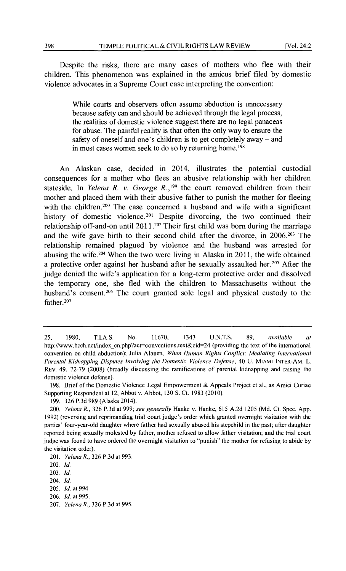Despite the risks, there are many cases of mothers who flee with their children. This phenomenon was explained in the amicus brief filed by domestic violence advocates in a Supreme Court case interpreting the convention:

> While courts and observers often assume abduction is unnecessary because safety can and should be achieved through the legal process, the realities of domestic violence suggest there are no legal panaceas for abuse. The painful reality is that often the only way to ensure the safety of oneself and one's children is to get completely away- and in most cases women seek to do so by returning home. 198

An Alaskan case, decided in 2014, illustrates the potential custodial consequences for a mother who flees an abusive relationship with her children stateside. In *Yelena R. v. George R.*,<sup>199</sup> the court removed children from their mother and placed them with their abusive father to punish the mother for fleeing with the children.<sup>200</sup> The case concerned a husband and wife with a significant history of domestic violence.<sup>201</sup> Despite divorcing, the two continued their relationship off-and-on until 2011.<sup>202</sup> Their first child was born during the marriage and the wife gave birth to their second child after the divorce, in 2006.203 The relationship remained plagued by violence and the husband was arrested for abusing the wife.<sup>204</sup> When the two were living in Alaska in  $2011$ , the wife obtained a protective order against her husband after he sexually assaulted her. 205 After the judge denied the wife's application for a long-term protective order and dissolved the temporary one, she fled with the children to Massachusetts without the husband's consent.<sup>206</sup> The court granted sole legal and physical custody to the father.<sup>207</sup>

<sup>25, 1980,</sup> T.I.A.S. No. 11670, 1343 U.N.T.S. 89, *available at*  http://www.hcch.net/index\_en.php?act=conventions.text&cid=24 (providing the text of the international convention on child abduction); Julia Alanen, *When Human Rights Conflict: Mediating International Parental Kidnapping Disputes Involving the Domestic Violence Defense,* 40 U. MIAMI INTER-AM. L. REV. 49, 72-79 (2008) (broadly discussing the ramifications of parental kidnapping and raising the domestic violence defense).

<sup>198.</sup> Brief of the Domestic Violence Legal Empowerment & Appeals Project et al., as Amici Curiae Supporting Respondent at 12, Abbot v. Abbot, 130 S. Ct. 1983 (2010).

<sup>199. 326</sup> P.3d 989 (Alaska 2014).

<sup>200.</sup> *Yelena R.,* 326 P.3d at 999; *see generally* Hanke v. Hanke, 615 A.2d 1205 (Md. Ct. Spec. App. 1992) (reversing and reprimanding trial court judge's order which granted overnight visitation with the parties' four-year-old daughter where father had sexually abused his stepchild in the past; after daughter reported being sexually molested by father, mother refused to allow father visitation; and the trial court judge was found to have ordered the overnight visitation to "punish" the mother for refusing to abide by the visitation order).

<sup>201.</sup> *Yelena R.,* 326 P.3d at 993.

<sup>202.</sup> */d.* 

<sup>203.</sup> */d.* 

<sup>204.</sup> *!d.* 

<sup>205.</sup> */d.* at 994.

<sup>206.</sup> */d.* at 995.

<sup>207.</sup> *Yelena R.,* 326 P.3d at 995.